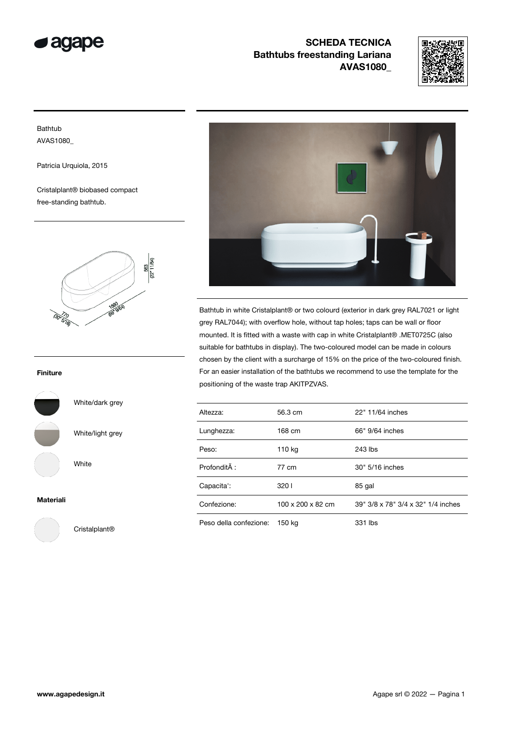



### Bathtub AVAS1080\_

Patricia Urquiola, 2015

Cristalplant® biobased compact free-standing bathtub.



#### Finiture



#### Materiali



Cristalplant®

White/dark grey

White/light grey

White



Bathtub in white Cristalplant® or two colourd (exterior in dark grey RAL7021 or light grey RAL7044); with overflow hole, without tap holes; taps can be wall or floor mounted. It is fitted with a waste with cap in white Cristalplant® .MET0725C (also suitable for bathtubs in display). The two-coloured model can be made in colours chosen by the client with a surcharge of 15% on the price of the two-coloured finish. For an easier installation of the bathtubs we recommend to use the template for the positioning of the waste trap AKITPZVAS.

| Altezza:               | 56.3 cm           | 22" 11/64 inches                   |
|------------------------|-------------------|------------------------------------|
| Lunghezza:             | 168 cm            | 66" 9/64 inches                    |
| Peso:                  | 110 kg            | 243 lbs                            |
| Profondità :           | 77 cm             | 30" 5/16 inches                    |
| Capacita':             | 3201              | 85 gal                             |
| Confezione:            | 100 x 200 x 82 cm | 39" 3/8 x 78" 3/4 x 32" 1/4 inches |
| Peso della confezione: | 150 kg            | 331 lbs                            |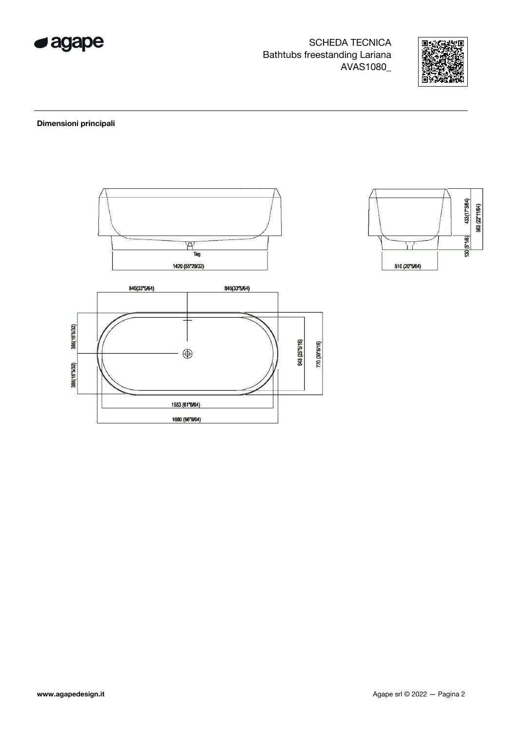



#### Dimensioni principali



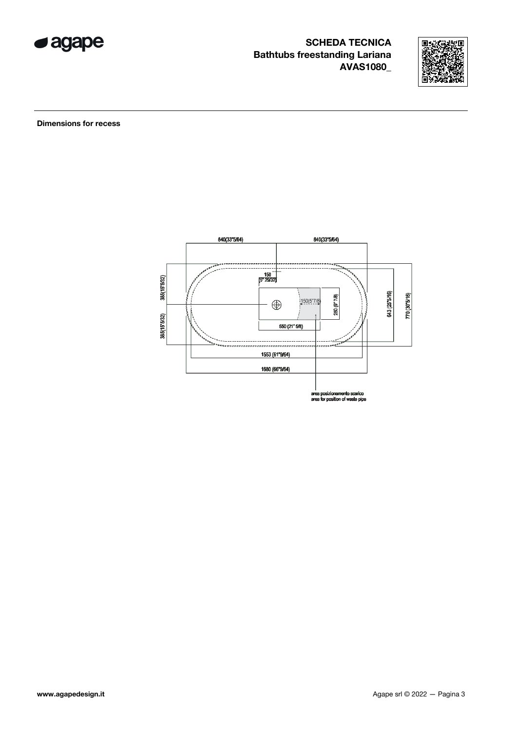



**Dimensions for recess** 

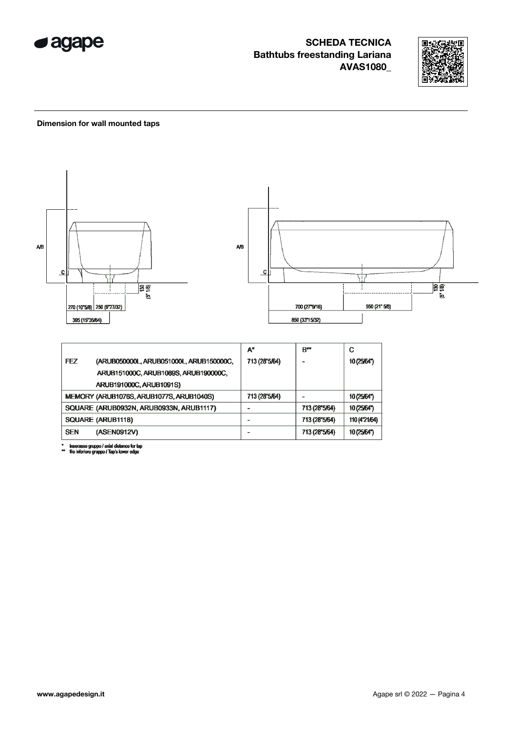



#### Dimension for wall mounted taps



inserasse gruppo / axial distance for tap<br>filo inferiore gruppo / Tap's lower edge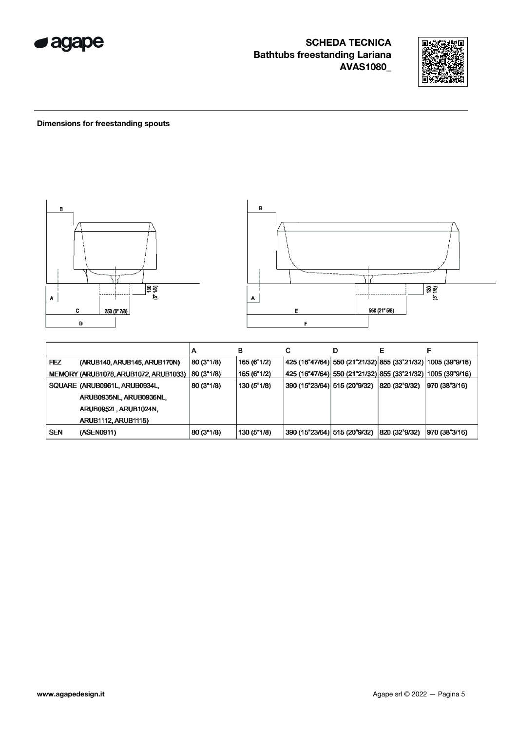



### Dimensions for freestanding spouts



|            |                                       | n          | в           |                                                                               | D |              |               |
|------------|---------------------------------------|------------|-------------|-------------------------------------------------------------------------------|---|--------------|---------------|
| <b>FEZ</b> | (ARUB140, ARUB145, ARUB170N)          | 80 (3"1/8) | 165 (6"1/2) | $ 425 (16^{n}47/64)  550 (21^{n}21/32)  855 (33^{n}21/32)  1005 (39^{n}9/16)$ |   |              |               |
|            | MEMORY (ARUB1078, ARUB1072, ARUB1033) | 80 (3"1/8) | 165(6"1/2)  | 425 (16"47/64)  550 (21"21/32)  855 (33"21/32)  1005 (39"9/16)                |   |              |               |
|            | SQUARE (ARUB0961L, ARUB0934L,         | 80 (3"1/8) | 130 (5"1/8) | 390 (15"23/64)  515 (20"9/32)   820 (32"9/32)                                 |   |              | 970 (38"3/16) |
|            | ARUB0935NL, ARUB0936NL,               |            |             |                                                                               |   |              |               |
|            | ARUB0952L, ARUB1024N,                 |            |             |                                                                               |   |              |               |
|            | <b>ARUB1112, ARUB1115)</b>            |            |             |                                                                               |   |              |               |
| <b>SEN</b> | (ASEN0911)                            | 80 (3"1/8) | 130 (5"1/8) | 390 (15"23/64)  515 (20"9/32)                                                 |   | 820(32°9/32) | 970 (38"3/16) |